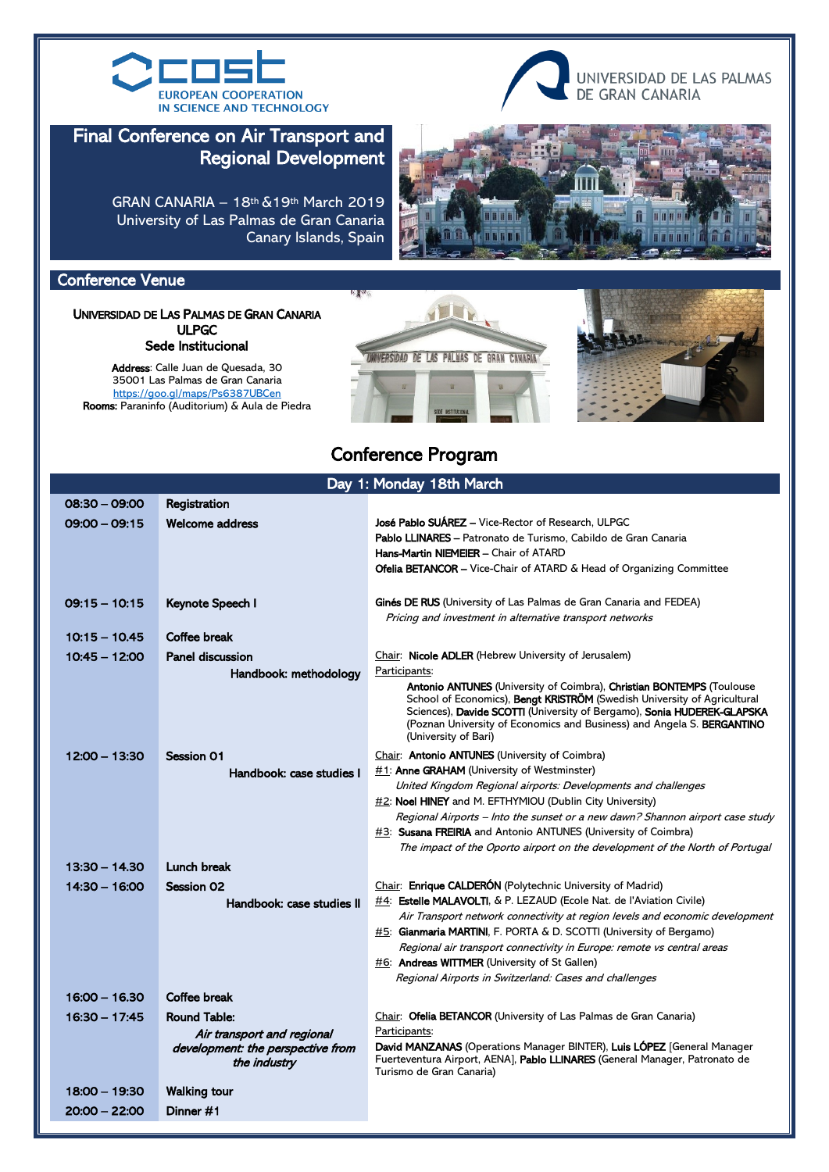



### Final Conference on Air Transport and Regional Development

GRAN CANARIA – 18th &19th March 2019 University of Las Palmas de Gran Canaria Canary Islands, Spain



#### Conference Venue

UNIVERSIDAD DE LAS PALMAS DE GRAN CANARIA ULPGC Sede Institucional

**Address**: Calle Juan de Quesada, 30 35001 Las Palmas de Gran Canaria <https://goo.gl/maps/Ps6387UBCen> Rooms: Paraninfo (Auditorium) & Aula de Piedra





# Conference Program

| Day 1: Monday 18th March |                                                                                                        |                                                                                                                                                                                                                                                                                                                                                                                                                                            |  |  |  |  |
|--------------------------|--------------------------------------------------------------------------------------------------------|--------------------------------------------------------------------------------------------------------------------------------------------------------------------------------------------------------------------------------------------------------------------------------------------------------------------------------------------------------------------------------------------------------------------------------------------|--|--|--|--|
| 08:30 - 09:00            | Registration                                                                                           |                                                                                                                                                                                                                                                                                                                                                                                                                                            |  |  |  |  |
| $09:00 - 09:15$          | <b>Welcome address</b>                                                                                 | <b>José Pablo SUÁREZ</b> - Vice-Rector of Research, ULPGC<br>Pablo LLINARES - Patronato de Turismo, Cabildo de Gran Canaria<br>Hans-Martin NIEMEIER - Chair of ATARD<br><b>Ofelia BETANCOR</b> – Vice-Chair of ATARD & Head of Organizing Committee                                                                                                                                                                                        |  |  |  |  |
| $09:15 - 10:15$          | Keynote Speech I                                                                                       | Ginés DE RUS (University of Las Palmas de Gran Canaria and FEDEA)<br>Pricing and investment in alternative transport networks                                                                                                                                                                                                                                                                                                              |  |  |  |  |
| $10:15 - 10.45$          | Coffee break                                                                                           |                                                                                                                                                                                                                                                                                                                                                                                                                                            |  |  |  |  |
| $10:45 - 12:00$          | <b>Panel discussion</b>                                                                                | Chair: Nicole ADLER (Hebrew University of Jerusalem)                                                                                                                                                                                                                                                                                                                                                                                       |  |  |  |  |
|                          | Handbook: methodology                                                                                  | Participants:<br><b>Antonio ANTUNES</b> (University of Coimbra), <b>Christian BONTEMPS</b> (Toulouse<br>School of Economics), <b>Bengt KRISTRÖM</b> (Swedish University of Agricultural<br>Sciences), Davide SCOTTI (University of Bergamo), Sonia HUDEREK-GLAPSKA<br>(Poznan University of Economics and Business) and Angela S. BERGANTINO<br>(University of Bari)                                                                       |  |  |  |  |
| $12:00 - 13:30$          | <b>Session 01</b>                                                                                      | Chair: <b>Antonio ANTUNES</b> (University of Coimbra)                                                                                                                                                                                                                                                                                                                                                                                      |  |  |  |  |
|                          | Handbook: case studies I                                                                               | $\#1$ : <b>Anne GRAHAM</b> (University of Westminster)                                                                                                                                                                                                                                                                                                                                                                                     |  |  |  |  |
|                          |                                                                                                        | United Kingdom Regional airports: Developments and challenges<br>$\#2$ : Noel HINEY and M. EFTHYMIOU (Dublin City University)<br>Regional Airports – Into the sunset or a new dawn? Shannon airport case study<br><b>#3: Susana FREIRIA</b> and Antonio ANTUNES (University of Coimbra)<br>The impact of the Oporto airport on the development of the North of Portugal                                                                    |  |  |  |  |
| $13:30 - 14.30$          | <b>Lunch break</b>                                                                                     |                                                                                                                                                                                                                                                                                                                                                                                                                                            |  |  |  |  |
| $14:30 - 16:00$          | <b>Session 02</b><br>Handbook: case studies II                                                         | Chair: Enrique CALDERÓN (Polytechnic University of Madrid)<br>$\#4$ : <b>Estelle MALAVOLTI</b> , & P. LEZAUD (Ecole Nat. de l'Aviation Civile)<br>Air Transport network connectivity at region levels and economic development<br><b>#5:</b> Gianmaria MARTINI, F. PORTA & D. SCOTTI (University of Bergamo)<br>Regional air transport connectivity in Europe: remote vs central areas<br>$#6$ : Andreas WITTMER (University of St Gallen) |  |  |  |  |
|                          |                                                                                                        | Regional Airports in Switzerland: Cases and challenges                                                                                                                                                                                                                                                                                                                                                                                     |  |  |  |  |
| $16.00 - 16.30$          | Coffee break                                                                                           |                                                                                                                                                                                                                                                                                                                                                                                                                                            |  |  |  |  |
| $16:30 - 17:45$          | <b>Round Table:</b><br>Air transport and regional<br>development: the perspective from<br>the industry | Chair: Ofelia BETANCOR (University of Las Palmas de Gran Canaria)<br>Participants:<br>David MANZANAS (Operations Manager BINTER), Luis LOPEZ [General Manager<br>Fuerteventura Airport, AENA], Pablo LLINARES (General Manager, Patronato de<br>Turismo de Gran Canaria)                                                                                                                                                                   |  |  |  |  |
| $18:00 - 19:30$          | <b>Walking tour</b>                                                                                    |                                                                                                                                                                                                                                                                                                                                                                                                                                            |  |  |  |  |
| $20:00 - 22:00$          | Dinner #1                                                                                              |                                                                                                                                                                                                                                                                                                                                                                                                                                            |  |  |  |  |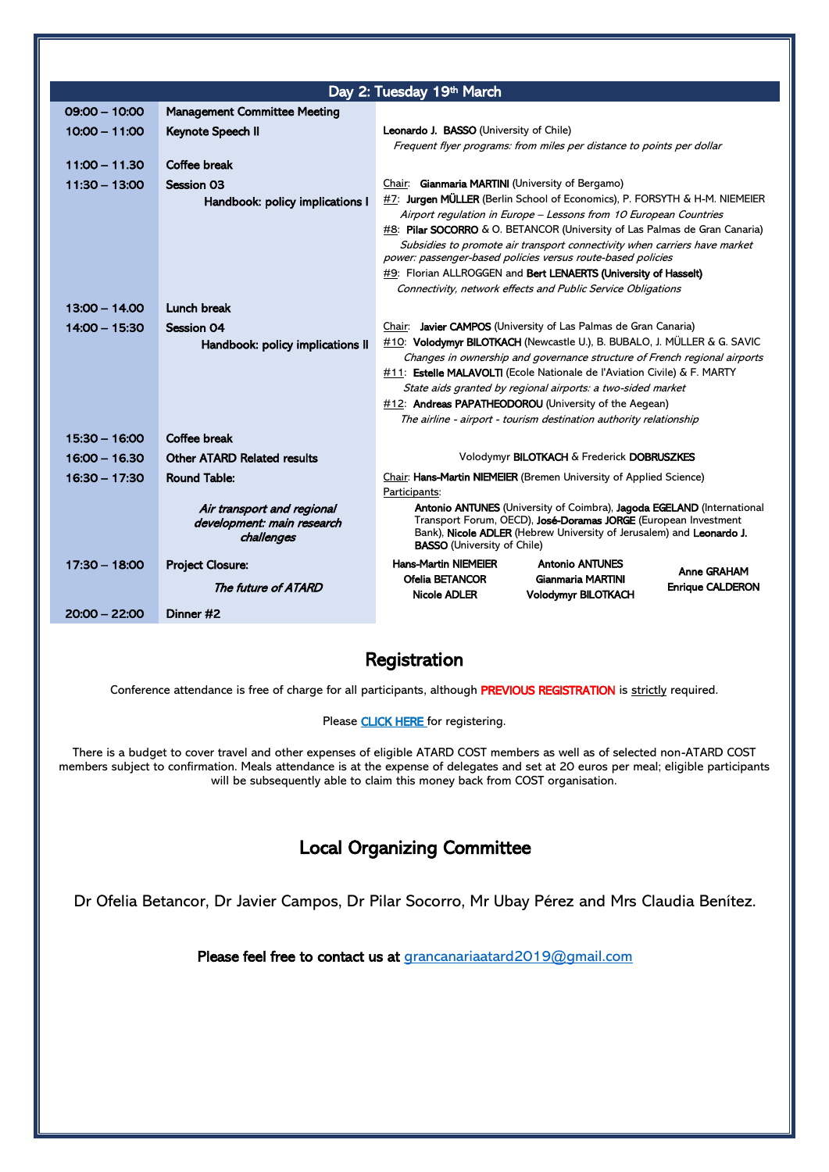| Day 2: Tuesday 19th March |                                     |                                                                                                                                                       |                            |                         |  |  |  |
|---------------------------|-------------------------------------|-------------------------------------------------------------------------------------------------------------------------------------------------------|----------------------------|-------------------------|--|--|--|
| $09:00 - 10:00$           | <b>Management Committee Meeting</b> |                                                                                                                                                       |                            |                         |  |  |  |
| $10:00 - 11:00$           | Keynote Speech II                   | <b>Leonardo J. BASSO</b> (University of Chile)                                                                                                        |                            |                         |  |  |  |
|                           |                                     | Frequent flyer programs: from miles per distance to points per dollar                                                                                 |                            |                         |  |  |  |
| $11:00 - 11.30$           | Coffee break                        |                                                                                                                                                       |                            |                         |  |  |  |
| $11:30 - 13:00$           | <b>Session 03</b>                   | Chair: Gianmaria MARTINI (University of Bergamo)                                                                                                      |                            |                         |  |  |  |
|                           | Handbook: policy implications I     | #7: Jurgen MÜLLER (Berlin School of Economics), P. FORSYTH & H-M. NIEMEIER                                                                            |                            |                         |  |  |  |
|                           |                                     | Airport regulation in Europe - Lessons from 10 European Countries                                                                                     |                            |                         |  |  |  |
|                           |                                     | <b>#8: Pilar SOCORRO</b> & O. BETANCOR (University of Las Palmas de Gran Canaria)                                                                     |                            |                         |  |  |  |
|                           |                                     | Subsidies to promote air transport connectivity when carriers have market                                                                             |                            |                         |  |  |  |
|                           |                                     | power: passenger-based policies versus route-based policies<br>$#9$ : Florian ALLROGGEN and <b>Bert LENAERTS (University of Hasselt)</b>              |                            |                         |  |  |  |
|                           |                                     | Connectivity, network effects and Public Service Obligations                                                                                          |                            |                         |  |  |  |
| 13:00 - 14.00             | Lunch break                         |                                                                                                                                                       |                            |                         |  |  |  |
|                           |                                     |                                                                                                                                                       |                            |                         |  |  |  |
| $14:00 - 15:30$           | <b>Session 04</b>                   | Chair: Javier CAMPOS (University of Las Palmas de Gran Canaria)                                                                                       |                            |                         |  |  |  |
|                           | Handbook: policy implications II    | #10: Volodymyr BILOTKACH (Newcastle U.), B. BUBALO, J. MÜLLER & G. SAVIC<br>Changes in ownership and governance structure of French regional airports |                            |                         |  |  |  |
|                           |                                     | $\#11$ : <b>Estelle MALAVOLTI</b> (Ecole Nationale de l'Aviation Civile) & F. MARTY                                                                   |                            |                         |  |  |  |
|                           |                                     | State aids granted by regional airports: a two-sided market                                                                                           |                            |                         |  |  |  |
|                           |                                     | #12: Andreas PAPATHEODOROU (University of the Aegean)                                                                                                 |                            |                         |  |  |  |
|                           |                                     | The airline - airport - tourism destination authority relationship                                                                                    |                            |                         |  |  |  |
| $15:30 - 16:00$           | Coffee break                        |                                                                                                                                                       |                            |                         |  |  |  |
| $16:00 - 16.30$           | <b>Other ATARD Related results</b>  | Volodymyr BILOTKACH & Frederick DOBRUSZKES                                                                                                            |                            |                         |  |  |  |
| $16:30 - 17:30$           | <b>Round Table:</b>                 | Chair: Hans-Martin NIEMEIER (Bremen University of Applied Science)                                                                                    |                            |                         |  |  |  |
|                           |                                     | Participants:                                                                                                                                         |                            |                         |  |  |  |
|                           | Air transport and regional          | Antonio ANTUNES (University of Coimbra), Jagoda EGELAND (International                                                                                |                            |                         |  |  |  |
|                           | development: main research          | Transport Forum, OECD), José-Doramas JORGE (European Investment<br>Bank), Nicole ADLER (Hebrew University of Jerusalem) and Leonardo J.               |                            |                         |  |  |  |
|                           | challenges                          | <b>BASSO</b> (University of Chile)                                                                                                                    |                            |                         |  |  |  |
| $17:30 - 18:00$           | <b>Project Closure:</b>             | <b>Hans-Martin NIEMEIER</b>                                                                                                                           | <b>Antonio ANTUNES</b>     | <b>Anne GRAHAM</b>      |  |  |  |
|                           | The future of ATARD                 | Ofelia BETANCOR                                                                                                                                       | Gianmaria MARTINI          | <b>Enrique CALDERON</b> |  |  |  |
|                           |                                     | Nicole ADLER                                                                                                                                          | <b>Volodymyr BILOTKACH</b> |                         |  |  |  |
| $20:00 - 22:00$           | Dinner #2                           |                                                                                                                                                       |                            |                         |  |  |  |

#### Registration

Conference attendance is free of charge for all participants, although PREVIOUS REGISTRATION is strictly required.

Please **CLICK HERE** for registering.

There is a budget to cover travel and other expenses of eligible ATARD COST members as well as of selected non-ATARD COST members subject to confirmation. Meals attendance is at the expense of delegates and set at 20 euros per meal; eligible participants will be subsequently able to claim this money back from COST organisation.

# Local Organizing Committee

Dr Ofelia Betancor, Dr Javier Campos, Dr Pilar Socorro, Mr Ubay Pérez and Mrs Claudia Benítez.

Please feel free to contact us at [grancanariaatard2019@gmail.com](mailto:grancanariaatard2019@gmail.com)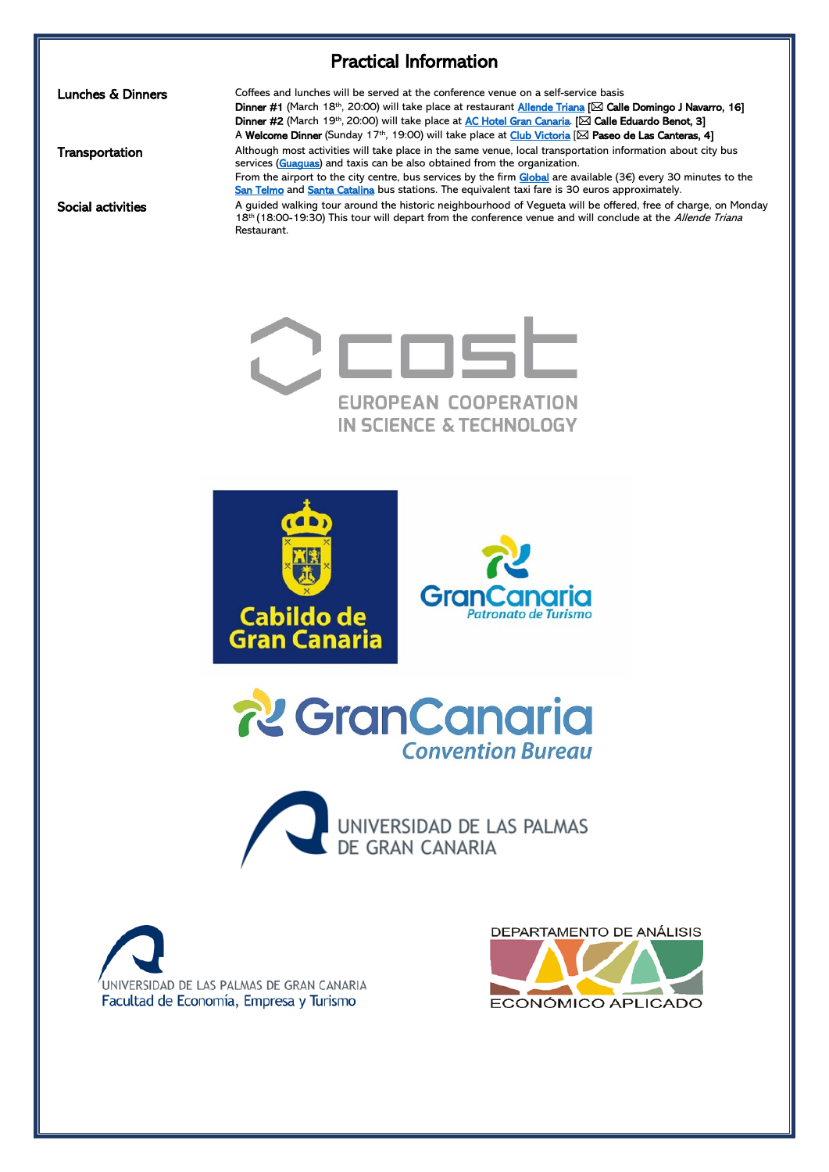# Practical Information

Lunches & Dinners

**Transportation** 

Social activities

Coffees and lunches will be served at the conference venue on a self-service basis Dinner #1 (March 18th, 20:00) will take place at restaurant **Allende Triana** [ SC Calle Domingo J Navarro, 16] Dinner #2 (March 19th, 20:00) will take place at [AC Hotel Gran Canaria.](https://achotels.marriott.com/) [ $\boxtimes$  Calle Eduardo Benot, 3] A Welcome Dinner (Sunday 17<sup>th</sup>, 19:00) will take place at *Club Victoria* [ $\boxtimes$  Paseo de Las Canteras, 4] Although most activities will take place in the same venue, local transportation information about city bus services [\(Guaguas\)](https://www.guaguas.com/) and taxis can be also obtained from the organization. From the airport to the city centre, bus services by the firm [Global](https://www.guaguasglobal.com/lineas-horarios/informacion-turistica/aeropuerto/) are available (3€) every 30 minutes to the [San Telmo](https://goo.gl/maps/Z52UzMgVDhR2) and [Santa Catalina](https://goo.gl/maps/MH3YExaGswp) bus stations. The equivalent taxi fare is 30 euros approximately. A guided walking tour around the historic neighbourhood of Vegueta will be offered, free of charge, on Monday 18<sup>th</sup> (18:00-19:30) This tour will depart from the conference venue and will conclude at the Allende Triana Restaurant.